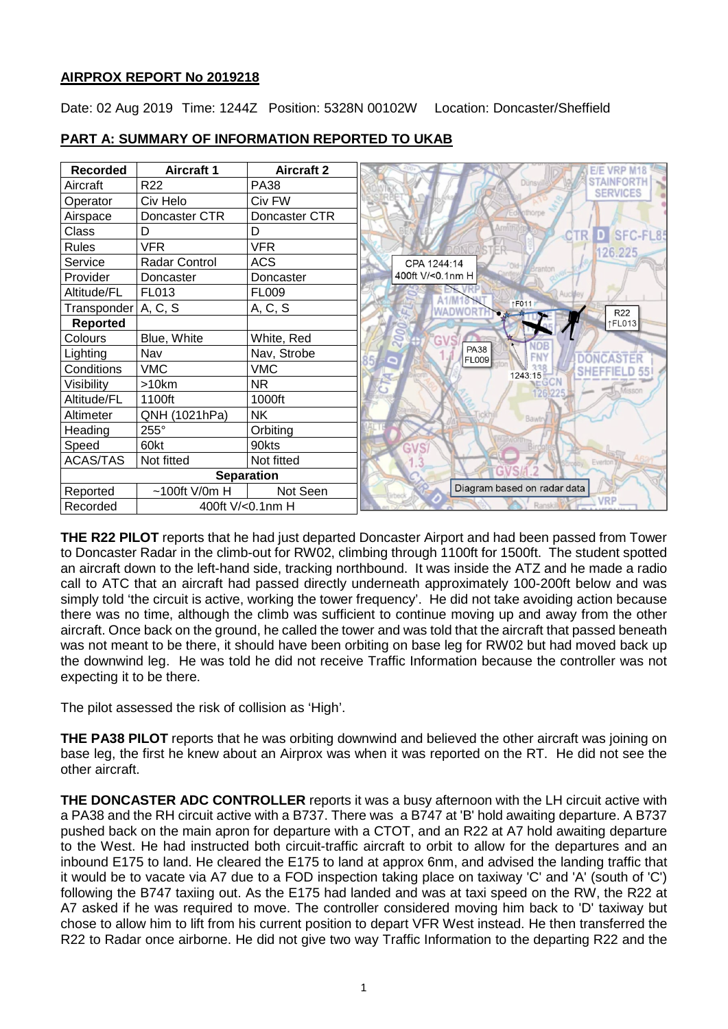## **AIRPROX REPORT No 2019218**

Date: 02 Aug 2019 Time: 1244Z Position: 5328N 00102W Location: Doncaster/Sheffield

| <b>Recorded</b>       | <b>Aircraft 1</b>    | <b>Aircraft 2</b> |  |
|-----------------------|----------------------|-------------------|--|
| Aircraft              | R <sub>22</sub>      | <b>PA38</b>       |  |
| Operator              | Civ Helo             | Civ FW            |  |
| Airspace              | Doncaster CTR        | Doncaster CTR     |  |
| Class                 | D                    | D                 |  |
| <b>Rules</b>          | <b>VFR</b>           | <b>VFR</b>        |  |
| Service               | <b>Radar Control</b> | <b>ACS</b>        |  |
| Provider              | Doncaster            | Doncaster         |  |
| Altitude/FL           | FL013                | <b>FL009</b>      |  |
| Transponder   A, C, S |                      | A, C, S           |  |
| <b>Reported</b>       |                      |                   |  |
| Colours               | Blue, White          | White, Red        |  |
| Lighting              | Nav                  | Nav, Strobe       |  |
| Conditions            | <b>VMC</b>           | <b>VMC</b>        |  |
| Visibility            | >10km                | NR.               |  |
| Altitude/FL           | 1100ft               | 1000ft            |  |
| Altimeter             | QNH (1021hPa)        | <b>NK</b>         |  |
| Heading               | $255^\circ$          | Orbiting          |  |
| Speed                 | 60kt                 | 90kts             |  |
| <b>ACAS/TAS</b>       | Not fitted           | Not fitted        |  |
| <b>Separation</b>     |                      |                   |  |
| Reported              | $~100$ ft V/0m H     | Not Seen          |  |
| Recorded              | 400ft V/<0.1nm H     |                   |  |

## **PART A: SUMMARY OF INFORMATION REPORTED TO UKAB**

**THE R22 PILOT** reports that he had just departed Doncaster Airport and had been passed from Tower to Doncaster Radar in the climb-out for RW02, climbing through 1100ft for 1500ft. The student spotted an aircraft down to the left-hand side, tracking northbound. It was inside the ATZ and he made a radio call to ATC that an aircraft had passed directly underneath approximately 100-200ft below and was simply told 'the circuit is active, working the tower frequency'. He did not take avoiding action because there was no time, although the climb was sufficient to continue moving up and away from the other aircraft. Once back on the ground, he called the tower and was told that the aircraft that passed beneath was not meant to be there, it should have been orbiting on base leg for RW02 but had moved back up the downwind leg. He was told he did not receive Traffic Information because the controller was not expecting it to be there.

The pilot assessed the risk of collision as 'High'.

**THE PA38 PILOT** reports that he was orbiting downwind and believed the other aircraft was joining on base leg, the first he knew about an Airprox was when it was reported on the RT. He did not see the other aircraft.

**THE DONCASTER ADC CONTROLLER** reports it was a busy afternoon with the LH circuit active with a PA38 and the RH circuit active with a B737. There was a B747 at 'B' hold awaiting departure. A B737 pushed back on the main apron for departure with a CTOT, and an R22 at A7 hold awaiting departure to the West. He had instructed both circuit-traffic aircraft to orbit to allow for the departures and an inbound E175 to land. He cleared the E175 to land at approx 6nm, and advised the landing traffic that it would be to vacate via A7 due to a FOD inspection taking place on taxiway 'C' and 'A' (south of 'C') following the B747 taxiing out. As the E175 had landed and was at taxi speed on the RW, the R22 at A7 asked if he was required to move. The controller considered moving him back to 'D' taxiway but chose to allow him to lift from his current position to depart VFR West instead. He then transferred the R22 to Radar once airborne. He did not give two way Traffic Information to the departing R22 and the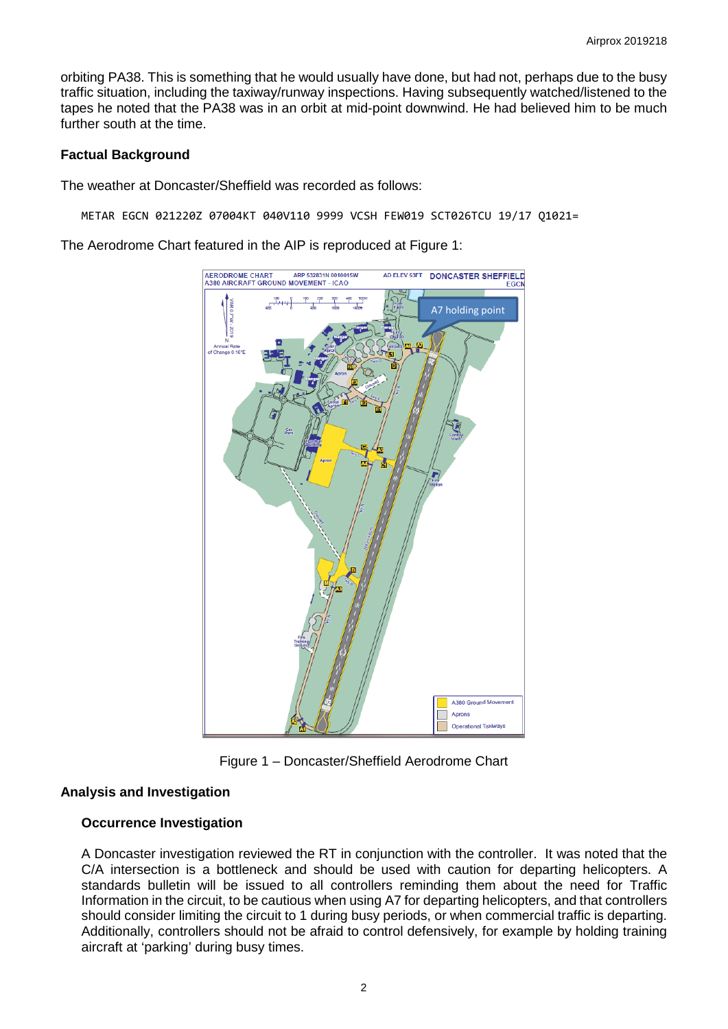orbiting PA38. This is something that he would usually have done, but had not, perhaps due to the busy traffic situation, including the taxiway/runway inspections. Having subsequently watched/listened to the tapes he noted that the PA38 was in an orbit at mid-point downwind. He had believed him to be much further south at the time.

### **Factual Background**

The weather at Doncaster/Sheffield was recorded as follows:

METAR EGCN 021220Z 07004KT 040V110 9999 VCSH FEW019 SCT026TCU 19/17 Q1021=

The Aerodrome Chart featured in the AIP is reproduced at Figure 1:



Figure 1 – Doncaster/Sheffield Aerodrome Chart

## **Analysis and Investigation**

## **Occurrence Investigation**

A Doncaster investigation reviewed the RT in conjunction with the controller. It was noted that the C/A intersection is a bottleneck and should be used with caution for departing helicopters. A standards bulletin will be issued to all controllers reminding them about the need for Traffic Information in the circuit, to be cautious when using A7 for departing helicopters, and that controllers should consider limiting the circuit to 1 during busy periods, or when commercial traffic is departing. Additionally, controllers should not be afraid to control defensively, for example by holding training aircraft at 'parking' during busy times.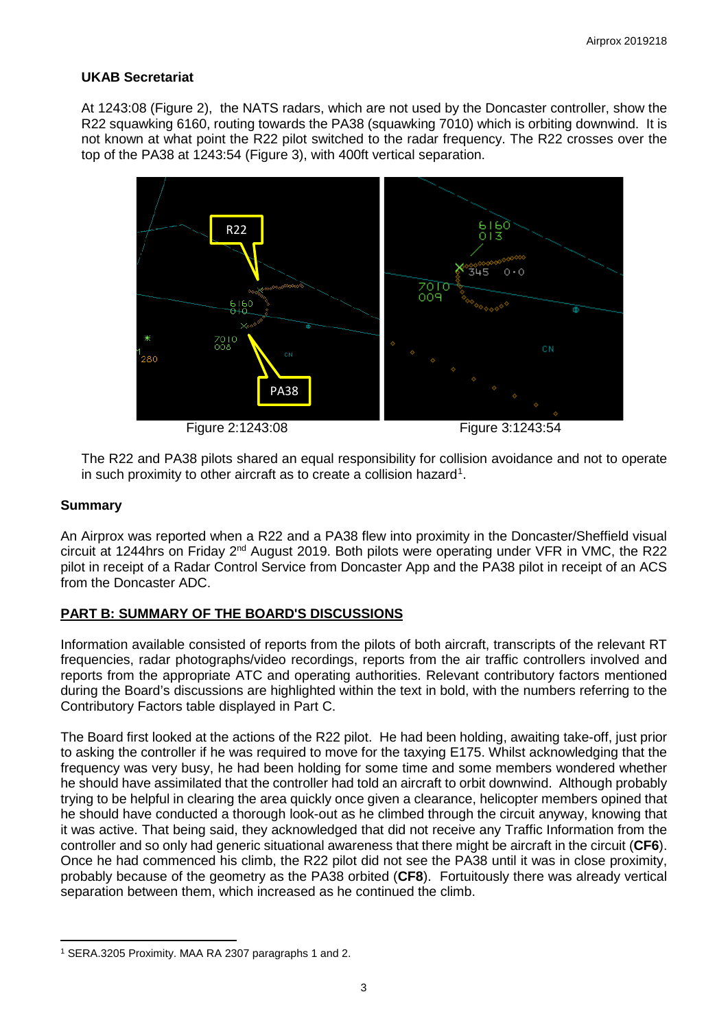## **UKAB Secretariat**

At 1243:08 (Figure 2), the NATS radars, which are not used by the Doncaster controller, show the R22 squawking 6160, routing towards the PA38 (squawking 7010) which is orbiting downwind. It is not known at what point the R22 pilot switched to the radar frequency. The R22 crosses over the top of the PA38 at 1243:54 (Figure 3), with 400ft vertical separation.



The R22 and PA38 pilots shared an equal responsibility for collision avoidance and not to operate in such proximity to other aircraft as to create a collision hazard<sup>[1](#page-2-0)</sup>.

## **Summary**

An Airprox was reported when a R22 and a PA38 flew into proximity in the Doncaster/Sheffield visual circuit at 1244hrs on Friday 2nd August 2019. Both pilots were operating under VFR in VMC, the R22 pilot in receipt of a Radar Control Service from Doncaster App and the PA38 pilot in receipt of an ACS from the Doncaster ADC.

## **PART B: SUMMARY OF THE BOARD'S DISCUSSIONS**

Information available consisted of reports from the pilots of both aircraft, transcripts of the relevant RT frequencies, radar photographs/video recordings, reports from the air traffic controllers involved and reports from the appropriate ATC and operating authorities. Relevant contributory factors mentioned during the Board's discussions are highlighted within the text in bold, with the numbers referring to the Contributory Factors table displayed in Part C.

The Board first looked at the actions of the R22 pilot. He had been holding, awaiting take-off, just prior to asking the controller if he was required to move for the taxying E175. Whilst acknowledging that the frequency was very busy, he had been holding for some time and some members wondered whether he should have assimilated that the controller had told an aircraft to orbit downwind. Although probably trying to be helpful in clearing the area quickly once given a clearance, helicopter members opined that he should have conducted a thorough look-out as he climbed through the circuit anyway, knowing that it was active. That being said, they acknowledged that did not receive any Traffic Information from the controller and so only had generic situational awareness that there might be aircraft in the circuit (**CF6**). Once he had commenced his climb, the R22 pilot did not see the PA38 until it was in close proximity, probably because of the geometry as the PA38 orbited (**CF8**). Fortuitously there was already vertical separation between them, which increased as he continued the climb.

<span id="page-2-0"></span>l <sup>1</sup> SERA.3205 Proximity. MAA RA 2307 paragraphs 1 and 2.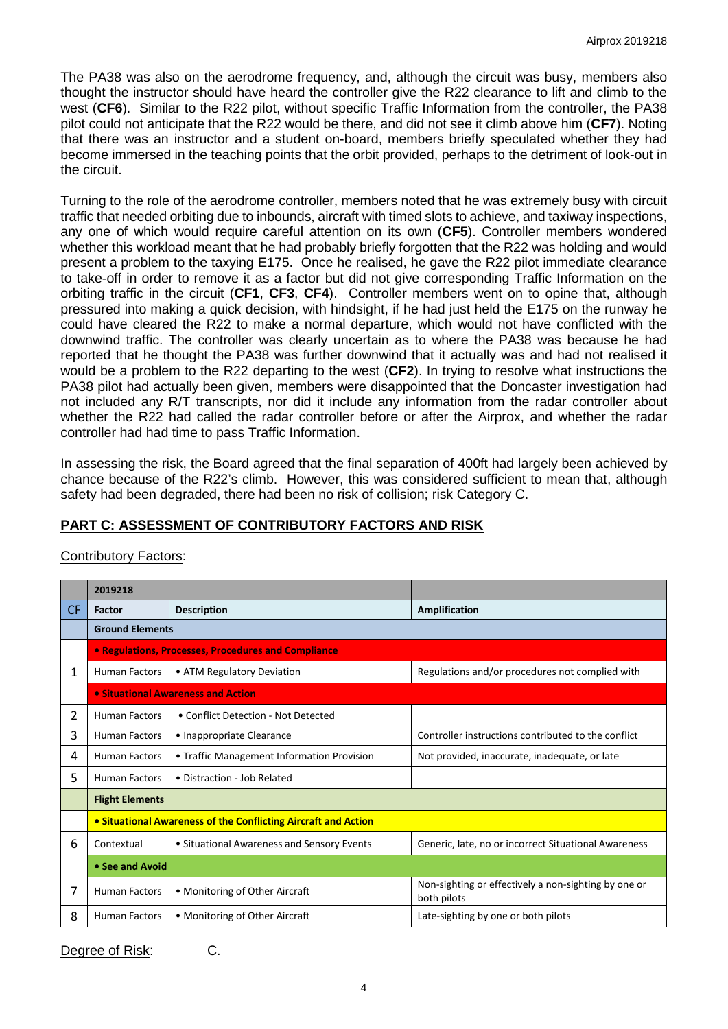The PA38 was also on the aerodrome frequency, and, although the circuit was busy, members also thought the instructor should have heard the controller give the R22 clearance to lift and climb to the west (**CF6**). Similar to the R22 pilot, without specific Traffic Information from the controller, the PA38 pilot could not anticipate that the R22 would be there, and did not see it climb above him (**CF7**). Noting that there was an instructor and a student on-board, members briefly speculated whether they had become immersed in the teaching points that the orbit provided, perhaps to the detriment of look-out in the circuit.

Turning to the role of the aerodrome controller, members noted that he was extremely busy with circuit traffic that needed orbiting due to inbounds, aircraft with timed slots to achieve, and taxiway inspections, any one of which would require careful attention on its own (**CF5**). Controller members wondered whether this workload meant that he had probably briefly forgotten that the R22 was holding and would present a problem to the taxying E175. Once he realised, he gave the R22 pilot immediate clearance to take-off in order to remove it as a factor but did not give corresponding Traffic Information on the orbiting traffic in the circuit (**CF1**, **CF3**, **CF4**). Controller members went on to opine that, although pressured into making a quick decision, with hindsight, if he had just held the E175 on the runway he could have cleared the R22 to make a normal departure, which would not have conflicted with the downwind traffic. The controller was clearly uncertain as to where the PA38 was because he had reported that he thought the PA38 was further downwind that it actually was and had not realised it would be a problem to the R22 departing to the west (**CF2**). In trying to resolve what instructions the PA38 pilot had actually been given, members were disappointed that the Doncaster investigation had not included any R/T transcripts, nor did it include any information from the radar controller about whether the R22 had called the radar controller before or after the Airprox, and whether the radar controller had had time to pass Traffic Information.

In assessing the risk, the Board agreed that the final separation of 400ft had largely been achieved by chance because of the R22's climb. However, this was considered sufficient to mean that, although safety had been degraded, there had been no risk of collision; risk Category C.

# **PART C: ASSESSMENT OF CONTRIBUTORY FACTORS AND RISK**

|     | 2019218                                                        |                                            |                                                                     |  |  |  |
|-----|----------------------------------------------------------------|--------------------------------------------|---------------------------------------------------------------------|--|--|--|
| CF. | Factor                                                         | <b>Description</b>                         | Amplification                                                       |  |  |  |
|     | <b>Ground Elements</b>                                         |                                            |                                                                     |  |  |  |
|     | <b>• Regulations, Processes, Procedures and Compliance</b>     |                                            |                                                                     |  |  |  |
| 1   | <b>Human Factors</b>                                           | • ATM Regulatory Deviation                 | Regulations and/or procedures not complied with                     |  |  |  |
|     | • Situational Awareness and Action                             |                                            |                                                                     |  |  |  |
| 2   | <b>Human Factors</b>                                           | • Conflict Detection - Not Detected        |                                                                     |  |  |  |
| 3   | <b>Human Factors</b>                                           | • Inappropriate Clearance                  | Controller instructions contributed to the conflict                 |  |  |  |
| 4   | <b>Human Factors</b>                                           | • Traffic Management Information Provision | Not provided, inaccurate, inadequate, or late                       |  |  |  |
| 5   | <b>Human Factors</b>                                           | • Distraction - Job Related                |                                                                     |  |  |  |
|     | <b>Flight Elements</b>                                         |                                            |                                                                     |  |  |  |
|     | • Situational Awareness of the Conflicting Aircraft and Action |                                            |                                                                     |  |  |  |
| 6   | Contextual                                                     | • Situational Awareness and Sensory Events | Generic, late, no or incorrect Situational Awareness                |  |  |  |
|     | • See and Avoid                                                |                                            |                                                                     |  |  |  |
| 7   | <b>Human Factors</b>                                           | • Monitoring of Other Aircraft             | Non-sighting or effectively a non-sighting by one or<br>both pilots |  |  |  |
| 8   | <b>Human Factors</b>                                           | • Monitoring of Other Aircraft             | Late-sighting by one or both pilots                                 |  |  |  |

## Contributory Factors:

Degree of Risk: C.

$$
f_{\rm{max}}
$$